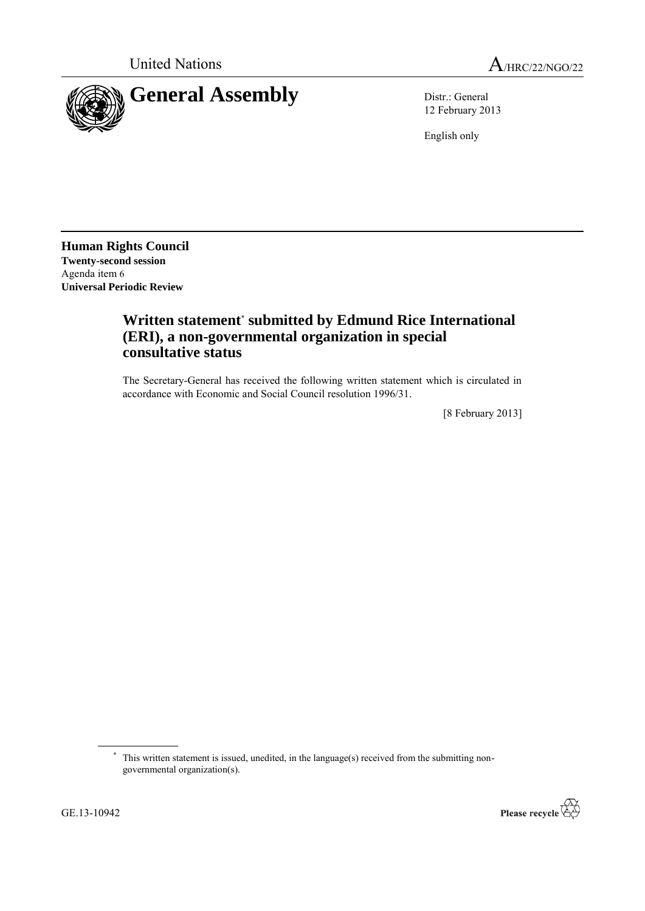



12 February 2013

English only

**Human Rights Council Twenty-second session** Agenda item 6 **Universal Periodic Review**

## **Written statement**\* **submitted by Edmund Rice International (ERI), a non-governmental organization in special consultative status**

The Secretary-General has received the following written statement which is circulated in accordance with Economic and Social Council resolution 1996/31.

[8 February 2013]

\* This written statement is issued, unedited, in the language(s) received from the submitting nongovernmental organization(s).